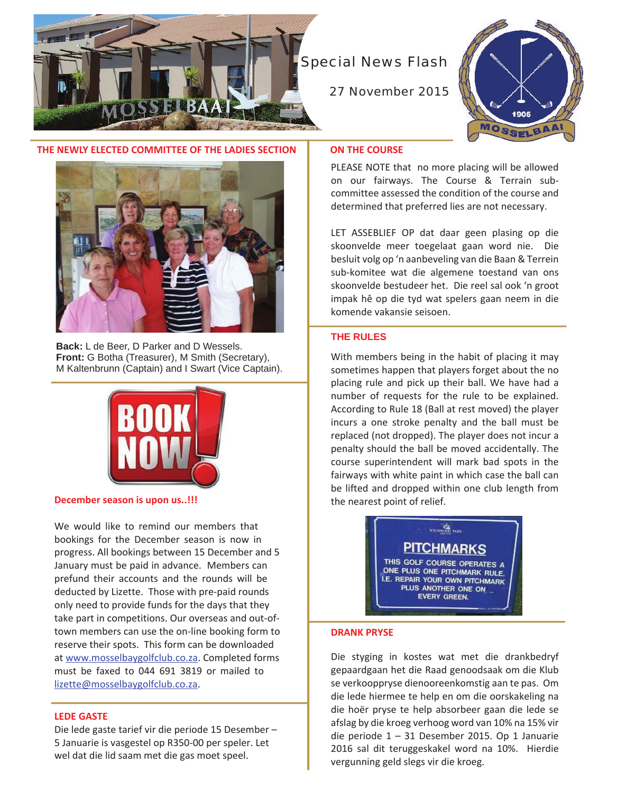

# Special News Flash

27 November 2015



# **THE NEWLY ELECTED COMMITTEE OF THE LADIES SECTION**



**Back:** L de Beer, D Parker and D Wessels. **Front:** G Botha (Treasurer), M Smith (Secretary), M Kaltenbrunn (Captain) and I Swart (Vice Captain).



**December season is upon us..!!!**

We would like to remind our members that bookings for the December season is now in progress. All bookings between 15 December and 5 January must be paid in advance. Members can prefund their accounts and the rounds will be deducted by Lizette. Those with pre-paid rounds only need to provide funds for the days that they take part in competitions. Our overseas and out-oftown members can use the on-line booking form to reserve their spots. This form can be downloaded at www.mosselbaygolfclub.co.za. Completed forms must be faxed to 044 691 3819 or mailed to lizette@mosselbaygolfclub.co.za.

## **LEDE GASTE**

Die lede gaste tarief vir die periode 15 Desember – 5 Januarie is vasgestel op R350-00 per speler. Let wel dat die lid saam met die gas moet speel.

#### **ON THE COURSE**

PLEASE NOTE that no more placing will be allowed on our fairways. The Course & Terrain subcommittee assessed the condition of the course and determined that preferred lies are not necessary.

LET ASSEBLIEF OP dat daar geen plasing op die skoonvelde meer toegelaat gaan word nie. Die besluit volg op 'n aanbeveling van die Baan & Terrein sub-komitee wat die algemene toestand van ons skoonvelde bestudeer het. Die reel sal ook 'n groot impak hê op die tyd wat spelers gaan neem in die komende vakansie seisoen.

# **THE RULES**

With members being in the habit of placing it may sometimes happen that players forget about the no placing rule and pick up their ball. We have had a number of requests for the rule to be explained. According to Rule 18 (Ball at rest moved) the player incurs a one stroke penalty and the ball must be replaced (not dropped). The player does not incur a penalty should the ball be moved accidentally. The course superintendent will mark bad spots in the fairways with white paint in which case the ball can be lifted and dropped within one club length from the nearest point of relief.



#### **DRANK PRYSE**

Die styging in kostes wat met die drankbedryf gepaardgaan het die Raad genoodsaak om die Klub se verkooppryse dienooreenkomstig aan te pas. Om die lede hiermee te help en om die oorskakeling na die hoër pryse te help absorbeer gaan die lede se afslag by die kroeg verhoog word van 10% na 15% vir die periode 1 – 31 Desember 2015. Op 1 Januarie 2016 sal dit teruggeskakel word na 10%. Hierdie vergunning geld slegs vir die kroeg.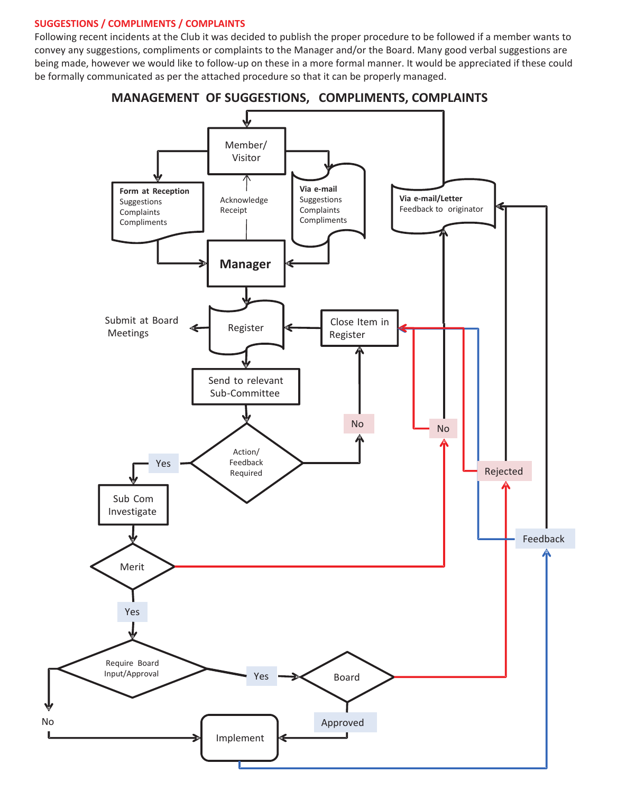# **SUGGESTIONS / COMPLIMENTS / COMPLAINTS**

No

Following recent incidents at the Club it was decided to publish the proper procedure to be followed if a member wants to convey any suggestions, compliments or complaints to the Manager and/or the Board. Many good verbal suggestions are being made, however we would like to follow-up on these in a more formal manner. It would be appreciated if these could be formally communicated as per the attached procedure so that it can be properly managed.